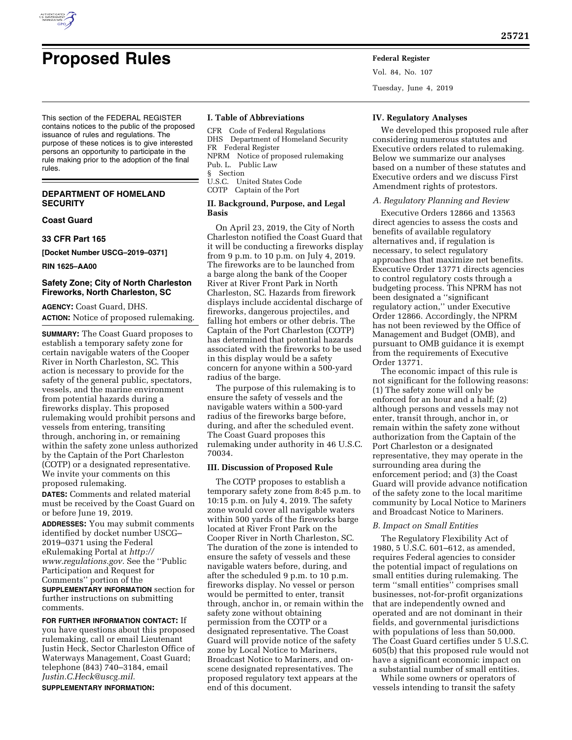

Vol. 84, No. 107 Tuesday, June 4, 2019

This section of the FEDERAL REGISTER contains notices to the public of the proposed issuance of rules and regulations. The purpose of these notices is to give interested persons an opportunity to participate in the rule making prior to the adoption of the final rules.

# **DEPARTMENT OF HOMELAND SECURITY**

**Coast Guard** 

**33 CFR Part 165** 

**[Docket Number USCG–2019–0371]** 

**RIN 1625–AA00** 

# **Safety Zone; City of North Charleston Fireworks, North Charleston, SC**

**AGENCY:** Coast Guard, DHS. **ACTION:** Notice of proposed rulemaking.

**SUMMARY:** The Coast Guard proposes to establish a temporary safety zone for certain navigable waters of the Cooper River in North Charleston, SC. This action is necessary to provide for the safety of the general public, spectators, vessels, and the marine environment from potential hazards during a fireworks display. This proposed rulemaking would prohibit persons and vessels from entering, transiting through, anchoring in, or remaining within the safety zone unless authorized by the Captain of the Port Charleston (COTP) or a designated representative. We invite your comments on this proposed rulemaking.

**DATES:** Comments and related material must be received by the Coast Guard on or before June 19, 2019.

**ADDRESSES:** You may submit comments identified by docket number USCG– 2019–0371 using the Federal eRulemaking Portal at *[http://](http://www.regulations.gov) [www.regulations.gov.](http://www.regulations.gov)* See the ''Public Participation and Request for Comments'' portion of the **SUPPLEMENTARY INFORMATION** section for further instructions on submitting comments.

**FOR FURTHER INFORMATION CONTACT:** If you have questions about this proposed rulemaking, call or email Lieutenant Justin Heck, Sector Charleston Office of Waterways Management, Coast Guard; telephone (843) 740–3184, email *[Justin.C.Heck@uscg.mil.](mailto:Justin.C.Heck@uscg.mil)*  **SUPPLEMENTARY INFORMATION:** 

## **I. Table of Abbreviations**

CFR Code of Federal Regulations DHS Department of Homeland Security FR Federal Register NPRM Notice of proposed rulemaking Pub. L. Public Law § Section U.S.C. United States Code COTP Captain of the Port

## **II. Background, Purpose, and Legal Basis**

On April 23, 2019, the City of North Charleston notified the Coast Guard that it will be conducting a fireworks display from 9 p.m. to 10 p.m. on July 4, 2019. The fireworks are to be launched from a barge along the bank of the Cooper River at River Front Park in North Charleston, SC. Hazards from firework displays include accidental discharge of fireworks, dangerous projectiles, and falling hot embers or other debris. The Captain of the Port Charleston (COTP) has determined that potential hazards associated with the fireworks to be used in this display would be a safety concern for anyone within a 500-yard radius of the barge.

The purpose of this rulemaking is to ensure the safety of vessels and the navigable waters within a 500-yard radius of the fireworks barge before, during, and after the scheduled event. The Coast Guard proposes this rulemaking under authority in 46 U.S.C. 70034.

### **III. Discussion of Proposed Rule**

The COTP proposes to establish a temporary safety zone from 8:45 p.m. to 10:15 p.m. on July 4, 2019. The safety zone would cover all navigable waters within 500 yards of the fireworks barge located at River Front Park on the Cooper River in North Charleston, SC. The duration of the zone is intended to ensure the safety of vessels and these navigable waters before, during, and after the scheduled 9 p.m. to 10 p.m. fireworks display. No vessel or person would be permitted to enter, transit through, anchor in, or remain within the safety zone without obtaining permission from the COTP or a designated representative. The Coast Guard will provide notice of the safety zone by Local Notice to Mariners, Broadcast Notice to Mariners, and onscene designated representatives. The proposed regulatory text appears at the end of this document.

## **IV. Regulatory Analyses**

We developed this proposed rule after considering numerous statutes and Executive orders related to rulemaking. Below we summarize our analyses based on a number of these statutes and Executive orders and we discuss First Amendment rights of protestors.

## *A. Regulatory Planning and Review*

Executive Orders 12866 and 13563 direct agencies to assess the costs and benefits of available regulatory alternatives and, if regulation is necessary, to select regulatory approaches that maximize net benefits. Executive Order 13771 directs agencies to control regulatory costs through a budgeting process. This NPRM has not been designated a ''significant regulatory action,'' under Executive Order 12866. Accordingly, the NPRM has not been reviewed by the Office of Management and Budget (OMB), and pursuant to OMB guidance it is exempt from the requirements of Executive Order 13771.

The economic impact of this rule is not significant for the following reasons: (1) The safety zone will only be enforced for an hour and a half; (2) although persons and vessels may not enter, transit through, anchor in, or remain within the safety zone without authorization from the Captain of the Port Charleston or a designated representative, they may operate in the surrounding area during the enforcement period; and (3) the Coast Guard will provide advance notification of the safety zone to the local maritime community by Local Notice to Mariners and Broadcast Notice to Mariners.

### *B. Impact on Small Entities*

The Regulatory Flexibility Act of 1980, 5 U.S.C. 601–612, as amended, requires Federal agencies to consider the potential impact of regulations on small entities during rulemaking. The term ''small entities'' comprises small businesses, not-for-profit organizations that are independently owned and operated and are not dominant in their fields, and governmental jurisdictions with populations of less than 50,000. The Coast Guard certifies under 5 U.S.C. 605(b) that this proposed rule would not have a significant economic impact on a substantial number of small entities.

While some owners or operators of vessels intending to transit the safety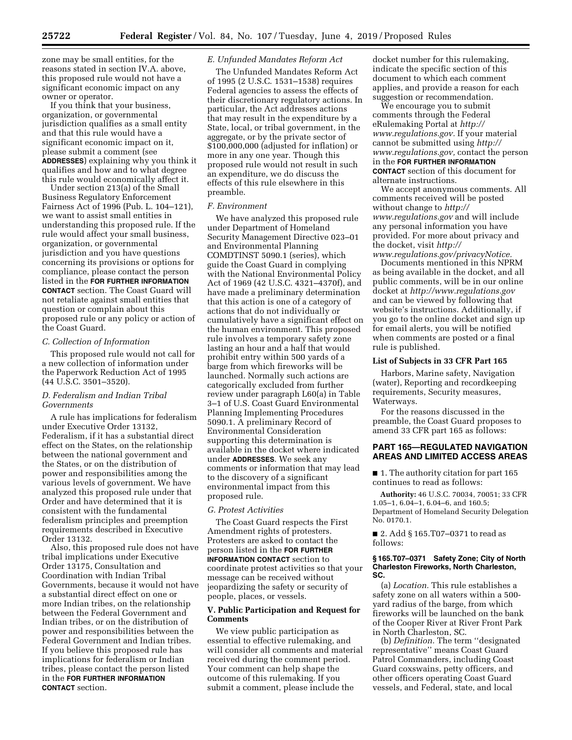zone may be small entities, for the reasons stated in section IV.A. above, this proposed rule would not have a significant economic impact on any owner or operator.

If you think that your business, organization, or governmental jurisdiction qualifies as a small entity and that this rule would have a significant economic impact on it, please submit a comment (see **ADDRESSES**) explaining why you think it qualifies and how and to what degree this rule would economically affect it.

Under section 213(a) of the Small Business Regulatory Enforcement Fairness Act of 1996 (Pub. L. 104–121), we want to assist small entities in understanding this proposed rule. If the rule would affect your small business, organization, or governmental jurisdiction and you have questions concerning its provisions or options for compliance, please contact the person listed in the **FOR FURTHER INFORMATION CONTACT** section. The Coast Guard will not retaliate against small entities that question or complain about this proposed rule or any policy or action of the Coast Guard.

#### *C. Collection of Information*

This proposed rule would not call for a new collection of information under the Paperwork Reduction Act of 1995 (44 U.S.C. 3501–3520).

## *D. Federalism and Indian Tribal Governments*

A rule has implications for federalism under Executive Order 13132, Federalism, if it has a substantial direct effect on the States, on the relationship between the national government and the States, or on the distribution of power and responsibilities among the various levels of government. We have analyzed this proposed rule under that Order and have determined that it is consistent with the fundamental federalism principles and preemption requirements described in Executive Order 13132.

Also, this proposed rule does not have tribal implications under Executive Order 13175, Consultation and Coordination with Indian Tribal Governments, because it would not have a substantial direct effect on one or more Indian tribes, on the relationship between the Federal Government and Indian tribes, or on the distribution of power and responsibilities between the Federal Government and Indian tribes. If you believe this proposed rule has implications for federalism or Indian tribes, please contact the person listed in the **FOR FURTHER INFORMATION CONTACT** section.

### *E. Unfunded Mandates Reform Act*

The Unfunded Mandates Reform Act of 1995 (2 U.S.C. 1531–1538) requires Federal agencies to assess the effects of their discretionary regulatory actions. In particular, the Act addresses actions that may result in the expenditure by a State, local, or tribal government, in the aggregate, or by the private sector of \$100,000,000 (adjusted for inflation) or more in any one year. Though this proposed rule would not result in such an expenditure, we do discuss the effects of this rule elsewhere in this preamble.

### *F. Environment*

We have analyzed this proposed rule under Department of Homeland Security Management Directive 023–01 and Environmental Planning COMDTINST 5090.1 (series), which guide the Coast Guard in complying with the National Environmental Policy Act of 1969 (42 U.S.C. 4321–4370f), and have made a preliminary determination that this action is one of a category of actions that do not individually or cumulatively have a significant effect on the human environment. This proposed rule involves a temporary safety zone lasting an hour and a half that would prohibit entry within 500 yards of a barge from which fireworks will be launched. Normally such actions are categorically excluded from further review under paragraph L60(a) in Table 3–1 of U.S. Coast Guard Environmental Planning Implementing Procedures 5090.1. A preliminary Record of Environmental Consideration supporting this determination is available in the docket where indicated under **ADDRESSES**. We seek any comments or information that may lead to the discovery of a significant environmental impact from this proposed rule.

### *G. Protest Activities*

The Coast Guard respects the First Amendment rights of protesters. Protesters are asked to contact the person listed in the **FOR FURTHER INFORMATION CONTACT** section to coordinate protest activities so that your message can be received without jeopardizing the safety or security of people, places, or vessels.

# **V. Public Participation and Request for Comments**

We view public participation as essential to effective rulemaking, and will consider all comments and material received during the comment period. Your comment can help shape the outcome of this rulemaking. If you submit a comment, please include the

docket number for this rulemaking, indicate the specific section of this document to which each comment applies, and provide a reason for each suggestion or recommendation.

We encourage you to submit comments through the Federal eRulemaking Portal at *[http://](http://www.regulations.gov) [www.regulations.gov.](http://www.regulations.gov)* If your material cannot be submitted using *[http://](http://www.regulations.gov) [www.regulations.gov,](http://www.regulations.gov)* contact the person in the **FOR FURTHER INFORMATION CONTACT** section of this document for alternate instructions.

We accept anonymous comments. All comments received will be posted without change to *[http://](http://www.regulations.gov) [www.regulations.gov](http://www.regulations.gov)* and will include any personal information you have provided. For more about privacy and the docket, visit *[http://](http://www.regulations.gov/privacyNotice) [www.regulations.gov/privacyNotice.](http://www.regulations.gov/privacyNotice)* 

Documents mentioned in this NPRM as being available in the docket, and all public comments, will be in our online docket at *<http://www.regulations.gov>*  and can be viewed by following that website's instructions. Additionally, if you go to the online docket and sign up for email alerts, you will be notified when comments are posted or a final rule is published.

### **List of Subjects in 33 CFR Part 165**

Harbors, Marine safety, Navigation (water), Reporting and recordkeeping requirements, Security measures, Waterways.

For the reasons discussed in the preamble, the Coast Guard proposes to amend 33 CFR part 165 as follows:

## **PART 165—REGULATED NAVIGATION AREAS AND LIMITED ACCESS AREAS**

■ 1. The authority citation for part 165 continues to read as follows:

**Authority:** 46 U.S.C. 70034, 70051; 33 CFR 1.05–1, 6.04–1, 6.04–6, and 160.5; Department of Homeland Security Delegation No. 0170.1.

■ 2. Add § 165.T07–0371 to read as follows:

#### **§ 165.T07–0371 Safety Zone; City of North Charleston Fireworks, North Charleston, SC.**

(a) *Location.* This rule establishes a safety zone on all waters within a 500 yard radius of the barge, from which fireworks will be launched on the bank of the Cooper River at River Front Park in North Charleston, SC.

(b) *Definition.* The term ''designated representative'' means Coast Guard Patrol Commanders, including Coast Guard coxswains, petty officers, and other officers operating Coast Guard vessels, and Federal, state, and local